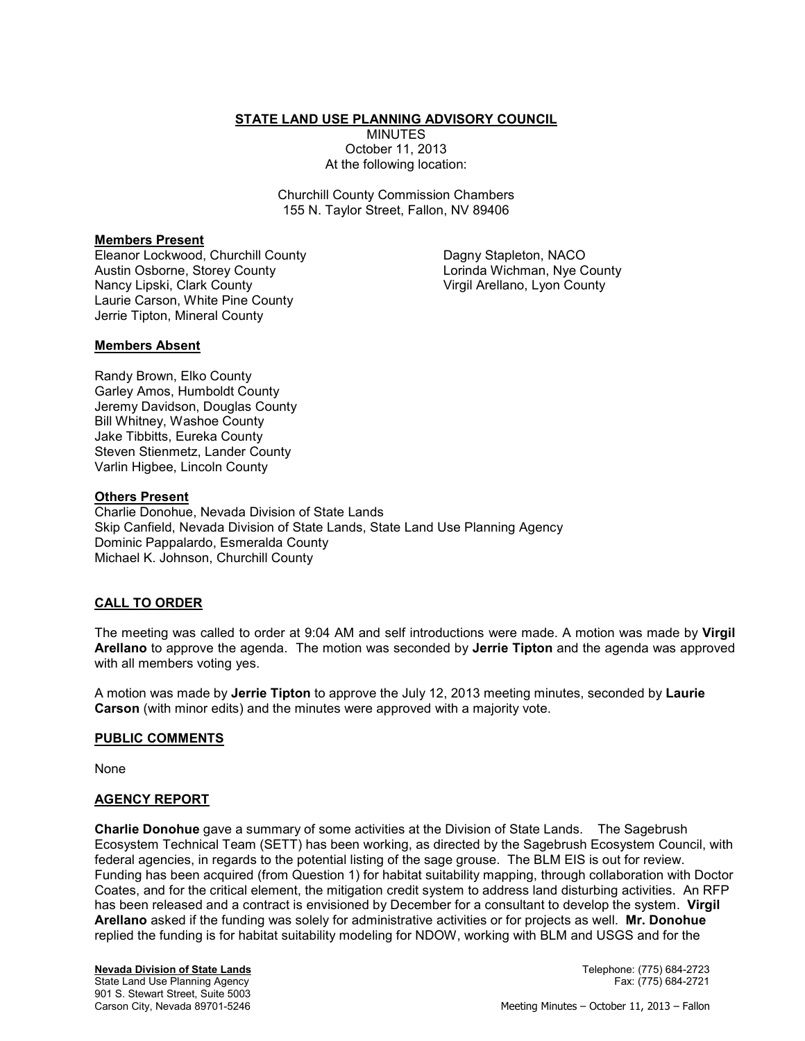**STATE LAND USE PLANNING ADVISORY COUNCIL** 

MINUTES October 11, 2013 At the following location:

Churchill County Commission Chambers 155 N. Taylor Street, Fallon, NV 89406

### **Members Present**

Eleanor Lockwood, Churchill County Austin Osborne, Storey County Nancy Lipski, Clark County Laurie Carson, White Pine County Jerrie Tipton, Mineral County

Dagny Stapleton, NACO Lorinda Wichman, Nye County Virgil Arellano, Lyon County

### **Members Absent**

Randy Brown, Elko County Garley Amos, Humboldt County Jeremy Davidson, Douglas County Bill Whitney, Washoe County Jake Tibbitts, Eureka County Steven Stienmetz, Lander County Varlin Higbee, Lincoln County

### **Others Present**

Charlie Donohue, Nevada Division of State Lands Skip Canfield, Nevada Division of State Lands, State Land Use Planning Agency Dominic Pappalardo, Esmeralda County Michael K. Johnson, Churchill County

### **CALL TO ORDER**

The meeting was called to order at 9:04 AM and self introductions were made. A motion was made by **Virgil Arellano** to approve the agenda. The motion was seconded by **Jerrie Tipton** and the agenda was approved with all members voting yes.

A motion was made by **Jerrie Tipton** to approve the July 12, 2013 meeting minutes, seconded by **Laurie Carson** (with minor edits) and the minutes were approved with a majority vote.

### **PUBLIC COMMENTS**

None

### **AGENCY REPORT**

**Charlie Donohue** gave a summary of some activities at the Division of State Lands. The Sagebrush Ecosystem Technical Team (SETT) has been working, as directed by the Sagebrush Ecosystem Council, with federal agencies, in regards to the potential listing of the sage grouse. The BLM EIS is out for review. Funding has been acquired (from Question 1) for habitat suitability mapping, through collaboration with Doctor Coates, and for the critical element, the mitigation credit system to address land disturbing activities. An RFP has been released and a contract is envisioned by December for a consultant to develop the system. **Virgil Arellano** asked if the funding was solely for administrative activities or for projects as well. **Mr. Donohue**  replied the funding is for habitat suitability modeling for NDOW, working with BLM and USGS and for the

**Nevada Division of State Lands** Telephone: (775) 684-2723 State Land Use Planning Agency 901 S. Stewart Street, Suite 5003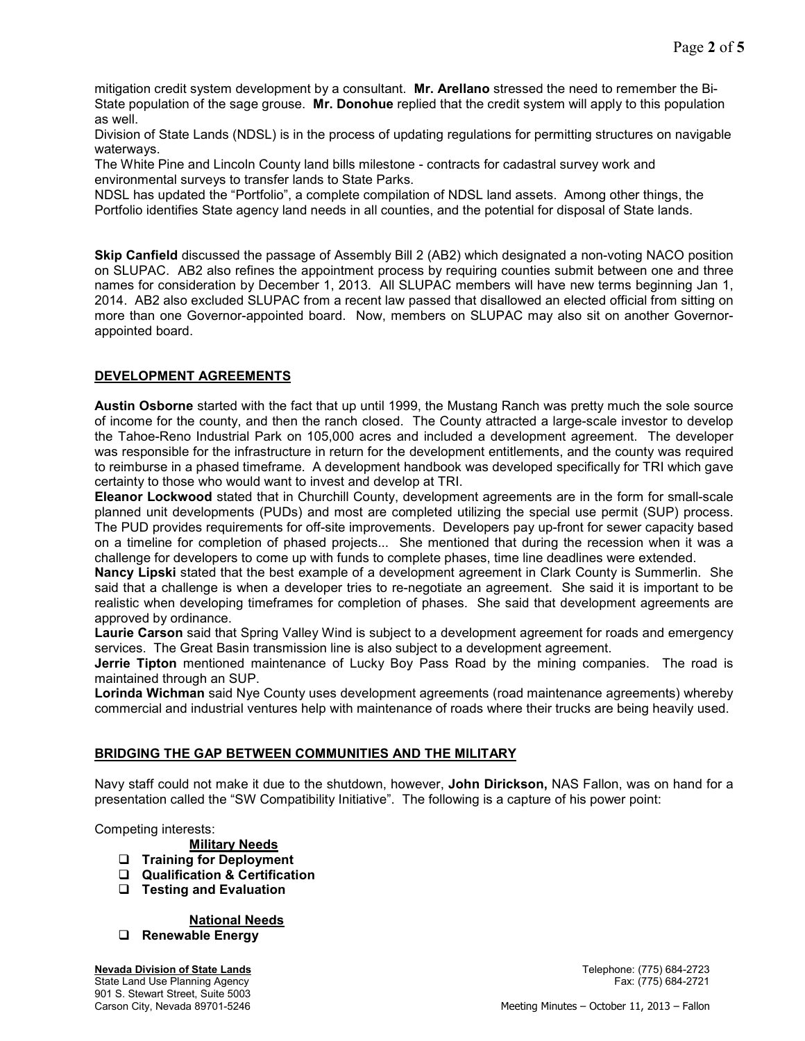mitigation credit system development by a consultant. **Mr. Arellano** stressed the need to remember the Bi-State population of the sage grouse. **Mr. Donohue** replied that the credit system will apply to this population as well.

Division of State Lands (NDSL) is in the process of updating regulations for permitting structures on navigable waterways.

The White Pine and Lincoln County land bills milestone - contracts for cadastral survey work and environmental surveys to transfer lands to State Parks.

NDSL has updated the "Portfolio", a complete compilation of NDSL land assets. Among other things, the Portfolio identifies State agency land needs in all counties, and the potential for disposal of State lands.

**Skip Canfield** discussed the passage of Assembly Bill 2 (AB2) which designated a non-voting NACO position on SLUPAC. AB2 also refines the appointment process by requiring counties submit between one and three names for consideration by December 1, 2013. All SLUPAC members will have new terms beginning Jan 1, 2014. AB2 also excluded SLUPAC from a recent law passed that disallowed an elected official from sitting on more than one Governor-appointed board. Now, members on SLUPAC may also sit on another Governorappointed board.

# **DEVELOPMENT AGREEMENTS**

**Austin Osborne** started with the fact that up until 1999, the Mustang Ranch was pretty much the sole source of income for the county, and then the ranch closed. The County attracted a large-scale investor to develop the Tahoe-Reno Industrial Park on 105,000 acres and included a development agreement. The developer was responsible for the infrastructure in return for the development entitlements, and the county was required to reimburse in a phased timeframe. A development handbook was developed specifically for TRI which gave certainty to those who would want to invest and develop at TRI.

**Eleanor Lockwood** stated that in Churchill County, development agreements are in the form for small-scale planned unit developments (PUDs) and most are completed utilizing the special use permit (SUP) process. The PUD provides requirements for off-site improvements. Developers pay up-front for sewer capacity based on a timeline for completion of phased projects... She mentioned that during the recession when it was a challenge for developers to come up with funds to complete phases, time line deadlines were extended.

**Nancy Lipski** stated that the best example of a development agreement in Clark County is Summerlin. She said that a challenge is when a developer tries to re-negotiate an agreement. She said it is important to be realistic when developing timeframes for completion of phases. She said that development agreements are approved by ordinance.

**Laurie Carson** said that Spring Valley Wind is subject to a development agreement for roads and emergency services. The Great Basin transmission line is also subject to a development agreement.

**Jerrie Tipton** mentioned maintenance of Lucky Boy Pass Road by the mining companies. The road is maintained through an SUP.

**Lorinda Wichman** said Nye County uses development agreements (road maintenance agreements) whereby commercial and industrial ventures help with maintenance of roads where their trucks are being heavily used.

### **BRIDGING THE GAP BETWEEN COMMUNITIES AND THE MILITARY**

Navy staff could not make it due to the shutdown, however, **John Dirickson,** NAS Fallon, was on hand for a presentation called the "SW Compatibility Initiative". The following is a capture of his power point:

Competing interests:

- **Military Needs**
- **Training for Deployment**
- **Qualification & Certification**
- **Testing and Evaluation**

**National Needs**

**Renewable Energy**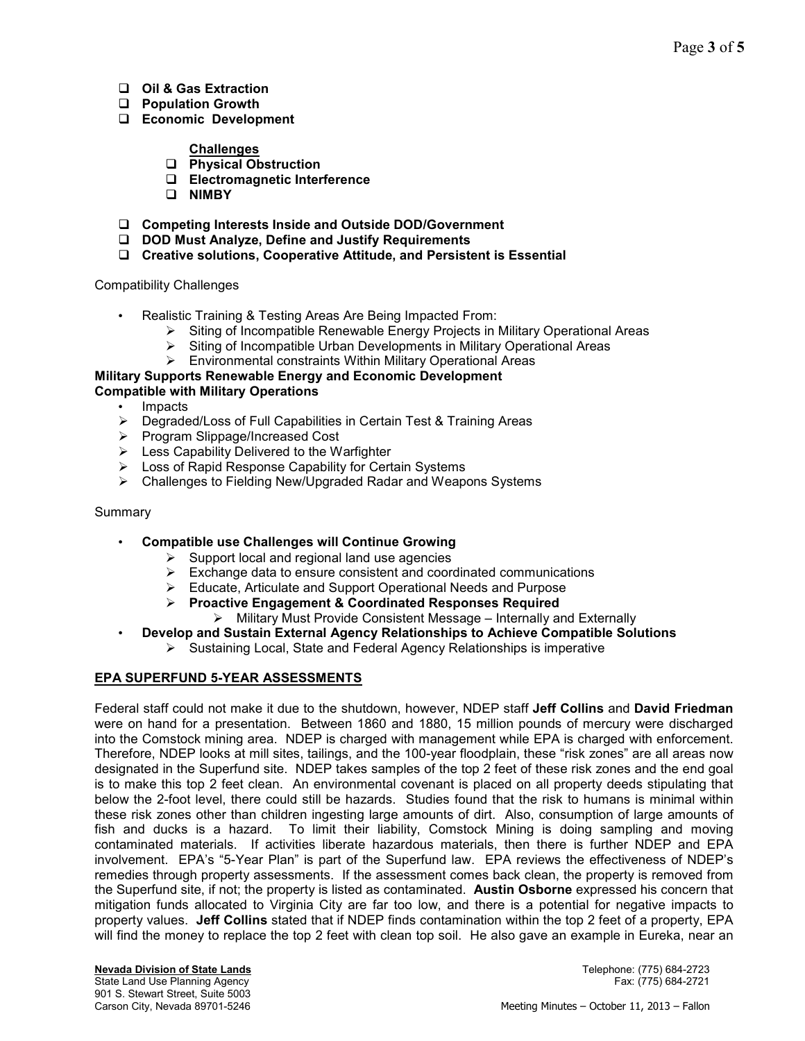- **Oil & Gas Extraction**
- **Population Growth**
- **Economic Development**

### **Challenges**

- **Physical Obstruction**
- **Electromagnetic Interference**
- **NIMBY**
- **Competing Interests Inside and Outside DOD/Government**
- **DOD Must Analyze, Define and Justify Requirements**
- **Creative solutions, Cooperative Attitude, and Persistent is Essential**

### Compatibility Challenges

- Realistic Training & Testing Areas Are Being Impacted From:
	- > Siting of Incompatible Renewable Energy Projects in Military Operational Areas
	- > Siting of Incompatible Urban Developments in Military Operational Areas
	- > Environmental constraints Within Military Operational Areas

### **Military Supports Renewable Energy and Economic Development Compatible with Military Operations**

- Impacts
- > Degraded/Loss of Full Capabilities in Certain Test & Training Areas
- > Program Slippage/Increased Cost
- > Less Capability Delivered to the Warfighter
- > Loss of Rapid Response Capability for Certain Systems
- Challenges to Fielding New/Upgraded Radar and Weapons Systems

### Summary

- **Compatible use Challenges will Continue Growing**
	- $\triangleright$  Support local and regional land use agencies
	- > Exchange data to ensure consistent and coordinated communications
	- > Educate, Articulate and Support Operational Needs and Purpose
	- **Proactive Engagement & Coordinated Responses Required**
		- > Military Must Provide Consistent Message Internally and Externally
- **Develop and Sustain External Agency Relationships to Achieve Compatible Solutions**
	- > Sustaining Local, State and Federal Agency Relationships is imperative

## **EPA SUPERFUND 5-YEAR ASSESSMENTS**

Federal staff could not make it due to the shutdown, however, NDEP staff **Jeff Collins** and **David Friedman**  were on hand for a presentation. Between 1860 and 1880, 15 million pounds of mercury were discharged into the Comstock mining area. NDEP is charged with management while EPA is charged with enforcement. Therefore, NDEP looks at mill sites, tailings, and the 100-year floodplain, these "risk zones" are all areas now designated in the Superfund site. NDEP takes samples of the top 2 feet of these risk zones and the end goal is to make this top 2 feet clean. An environmental covenant is placed on all property deeds stipulating that below the 2-foot level, there could still be hazards. Studies found that the risk to humans is minimal within these risk zones other than children ingesting large amounts of dirt. Also, consumption of large amounts of fish and ducks is a hazard. To limit their liability, Comstock Mining is doing sampling and moving contaminated materials. If activities liberate hazardous materials, then there is further NDEP and EPA involvement. EPA's "5-Year Plan" is part of the Superfund law. EPA reviews the effectiveness of NDEP's remedies through property assessments. If the assessment comes back clean, the property is removed from the Superfund site, if not; the property is listed as contaminated. **Austin Osborne** expressed his concern that mitigation funds allocated to Virginia City are far too low, and there is a potential for negative impacts to property values. **Jeff Collins** stated that if NDEP finds contamination within the top 2 feet of a property, EPA will find the money to replace the top 2 feet with clean top soil. He also gave an example in Eureka, near an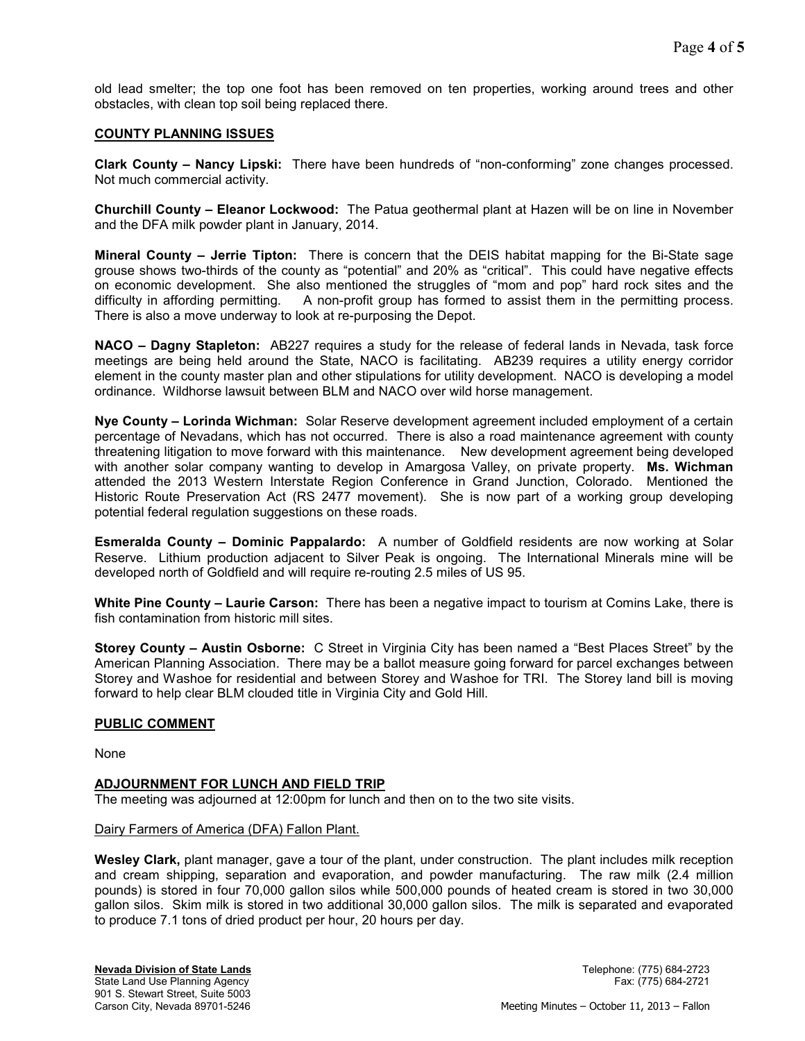old lead smelter; the top one foot has been removed on ten properties, working around trees and other obstacles, with clean top soil being replaced there.

### **COUNTY PLANNING ISSUES**

**Clark County – Nancy Lipski:** There have been hundreds of "non-conforming" zone changes processed. Not much commercial activity.

**Churchill County – Eleanor Lockwood:** The Patua geothermal plant at Hazen will be on line in November and the DFA milk powder plant in January, 2014.

**Mineral County – Jerrie Tipton:** There is concern that the DEIS habitat mapping for the Bi-State sage grouse shows two-thirds of the county as "potential" and 20% as "critical". This could have negative effects on economic development. She also mentioned the struggles of "mom and pop" hard rock sites and the difficulty in affording permitting. A non-profit group has formed to assist them in the permitting process. There is also a move underway to look at re-purposing the Depot.

**NACO – Dagny Stapleton:** AB227 requires a study for the release of federal lands in Nevada, task force meetings are being held around the State, NACO is facilitating. AB239 requires a utility energy corridor element in the county master plan and other stipulations for utility development. NACO is developing a model ordinance. Wildhorse lawsuit between BLM and NACO over wild horse management.

**Nye County – Lorinda Wichman:** Solar Reserve development agreement included employment of a certain percentage of Nevadans, which has not occurred. There is also a road maintenance agreement with county threatening litigation to move forward with this maintenance. New development agreement being developed with another solar company wanting to develop in Amargosa Valley, on private property. **Ms. Wichman** attended the 2013 Western Interstate Region Conference in Grand Junction, Colorado. Mentioned the Historic Route Preservation Act (RS 2477 movement). She is now part of a working group developing potential federal regulation suggestions on these roads.

**Esmeralda County – Dominic Pappalardo:** A number of Goldfield residents are now working at Solar Reserve. Lithium production adjacent to Silver Peak is ongoing. The International Minerals mine will be developed north of Goldfield and will require re-routing 2.5 miles of US 95.

**White Pine County – Laurie Carson:** There has been a negative impact to tourism at Comins Lake, there is fish contamination from historic mill sites.

**Storey County – Austin Osborne:** C Street in Virginia City has been named a "Best Places Street" by the American Planning Association. There may be a ballot measure going forward for parcel exchanges between Storey and Washoe for residential and between Storey and Washoe for TRI. The Storey land bill is moving forward to help clear BLM clouded title in Virginia City and Gold Hill.

### **PUBLIC COMMENT**

None

### **ADJOURNMENT FOR LUNCH AND FIELD TRIP**

The meeting was adjourned at 12:00pm for lunch and then on to the two site visits.

#### Dairy Farmers of America (DFA) Fallon Plant.

**Wesley Clark,** plant manager, gave a tour of the plant, under construction. The plant includes milk reception and cream shipping, separation and evaporation, and powder manufacturing. The raw milk (2.4 million pounds) is stored in four 70,000 gallon silos while 500,000 pounds of heated cream is stored in two 30,000 gallon silos. Skim milk is stored in two additional 30,000 gallon silos. The milk is separated and evaporated to produce 7.1 tons of dried product per hour, 20 hours per day.